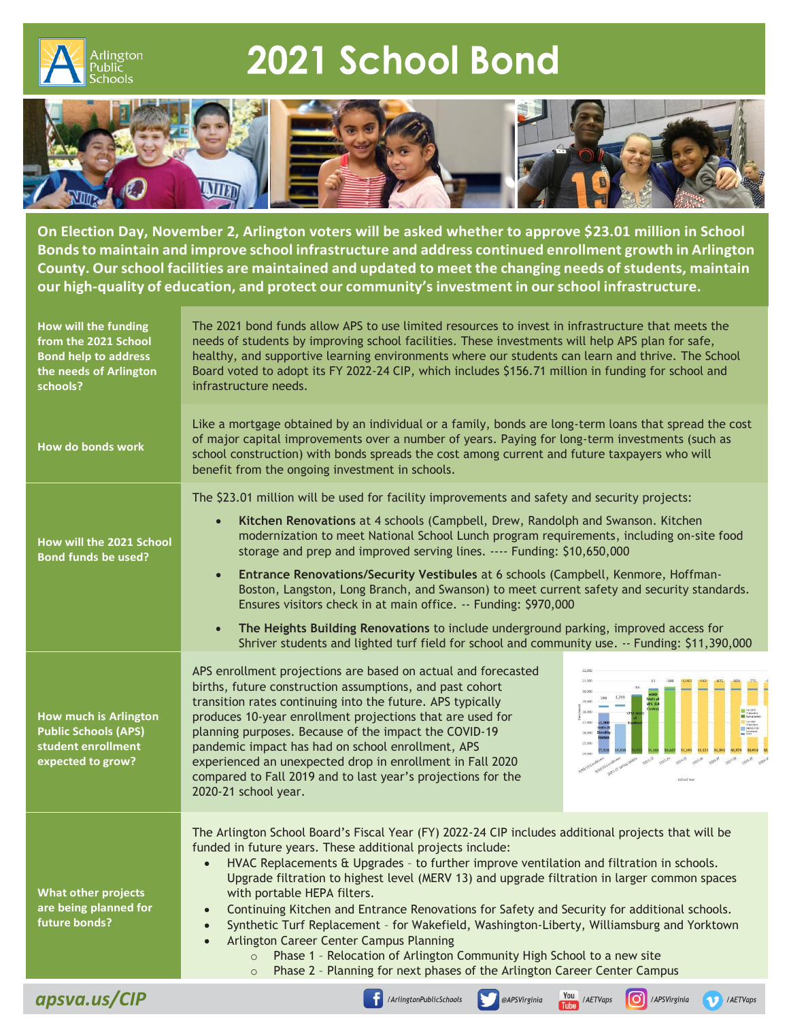

## 2021 School Bond



**On Election Day, November 2, Arlington voters will be asked whether to approve \$23.01 million in School Bondsto maintain and improve school infrastructure and address continued enrollment growth in Arlington County. Ourschool facilities are maintained and updated to meet the changing needs ofstudents, maintain our high-quality of education, and protect our community's investment in ourschool infrastructure.**

| How will the funding<br>from the 2021 School<br><b>Bond help to address</b><br>the needs of Arlington<br>schools? | The 2021 bond funds allow APS to use limited resources to invest in infrastructure that meets the<br>needs of students by improving school facilities. These investments will help APS plan for safe,<br>healthy, and supportive learning environments where our students can learn and thrive. The School<br>Board voted to adopt its FY 2022-24 CIP, which includes \$156.71 million in funding for school and<br>infrastructure needs.                                                                                                                                                                                                                                                                                                                                                                                    |
|-------------------------------------------------------------------------------------------------------------------|------------------------------------------------------------------------------------------------------------------------------------------------------------------------------------------------------------------------------------------------------------------------------------------------------------------------------------------------------------------------------------------------------------------------------------------------------------------------------------------------------------------------------------------------------------------------------------------------------------------------------------------------------------------------------------------------------------------------------------------------------------------------------------------------------------------------------|
| How do bonds work                                                                                                 | Like a mortgage obtained by an individual or a family, bonds are long-term loans that spread the cost<br>of major capital improvements over a number of years. Paying for long-term investments (such as<br>school construction) with bonds spreads the cost among current and future taxpayers who will<br>benefit from the ongoing investment in schools.                                                                                                                                                                                                                                                                                                                                                                                                                                                                  |
| How will the 2021 School<br><b>Bond funds be used?</b>                                                            | The \$23.01 million will be used for facility improvements and safety and security projects:<br>Kitchen Renovations at 4 schools (Campbell, Drew, Randolph and Swanson. Kitchen<br>$\bullet$<br>modernization to meet National School Lunch program requirements, including on-site food<br>storage and prep and improved serving lines. ---- Funding: \$10,650,000<br>Entrance Renovations/Security Vestibules at 6 schools (Campbell, Kenmore, Hoffman-<br>$\bullet$<br>Boston, Langston, Long Branch, and Swanson) to meet current safety and security standards.<br>Ensures visitors check in at main office. -- Funding: \$970,000<br>The Heights Building Renovations to include underground parking, improved access for<br>$\bullet$                                                                                 |
| <b>How much is Arlington</b><br><b>Public Schools (APS)</b><br>student enrollment<br>expected to grow?            | Shriver students and lighted turf field for school and community use. -- Funding: \$11,390,000<br>APS enrollment projections are based on actual and forecasted<br>31.00<br>births, future construction assumptions, and past cohort<br>transition rates continuing into the future. APS typically<br>28,000<br>produces 10-year enrollment projections that are used for<br>27,000<br>planning purposes. Because of the impact the COVID-19<br>26,000<br>25,000<br>pandemic impact has had on school enrollment, APS<br>experienced an unexpected drop in enrollment in Fall 2020<br>compared to Fall 2019 and to last year's projections for the<br>2020-21 school year.                                                                                                                                                   |
| <b>What other projects</b><br>are being planned for<br>future bonds?                                              | The Arlington School Board's Fiscal Year (FY) 2022-24 CIP includes additional projects that will be<br>funded in future years. These additional projects include:<br>HVAC Replacements & Upgrades - to further improve ventilation and filtration in schools.<br>Upgrade filtration to highest level (MERV 13) and upgrade filtration in larger common spaces<br>with portable HEPA filters.<br>Continuing Kitchen and Entrance Renovations for Safety and Security for additional schools.<br>Synthetic Turf Replacement - for Wakefield, Washington-Liberty, Williamsburg and Yorktown<br>Arlington Career Center Campus Planning<br>$\bullet$<br>Phase 1 - Relocation of Arlington Community High School to a new site<br>$\Omega$<br>Phase 2 - Planning for next phases of the Arlington Career Center Campus<br>$\circ$ |
| apsva.us/CIP                                                                                                      | You / AETVaps<br>llol<br>/ArlingtonPublicSchools<br>/APSVirginia<br>@APSVirginia<br>/ AETVaps                                                                                                                                                                                                                                                                                                                                                                                                                                                                                                                                                                                                                                                                                                                                |